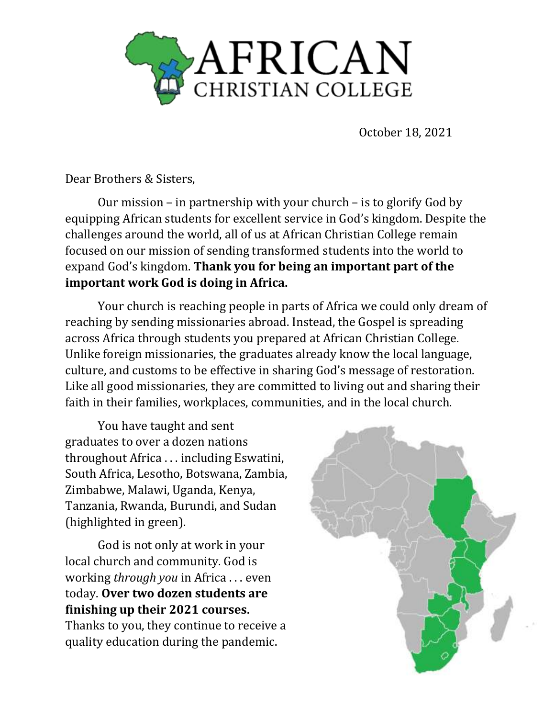

October 18, 2021

Dear Brothers & Sisters,

Our mission – in partnership with your church – is to glorify God by equipping African students for excellent service in God's kingdom. Despite the challenges around the world, all of us at African Christian College remain focused on our mission of sending transformed students into the world to expand God's kingdom. **Thank you for being an important part of the important work God is doing in Africa.**

Your church is reaching people in parts of Africa we could only dream of reaching by sending missionaries abroad. Instead, the Gospel is spreading across Africa through students you prepared at African Christian College. Unlike foreign missionaries, the graduates already know the local language, culture, and customs to be effective in sharing God's message of restoration. Like all good missionaries, they are committed to living out and sharing their faith in their families, workplaces, communities, and in the local church.

You have taught and sent graduates to over a dozen nations throughout Africa . . . including Eswatini, South Africa, Lesotho, Botswana, Zambia, Zimbabwe, Malawi, Uganda, Kenya, Tanzania, Rwanda, Burundi, and Sudan (highlighted in green).

God is not only at work in your local church and community. God is working *through you* in Africa . . . even today. **Over two dozen students are finishing up their 2021 courses.**  Thanks to you, they continue to receive a quality education during the pandemic.

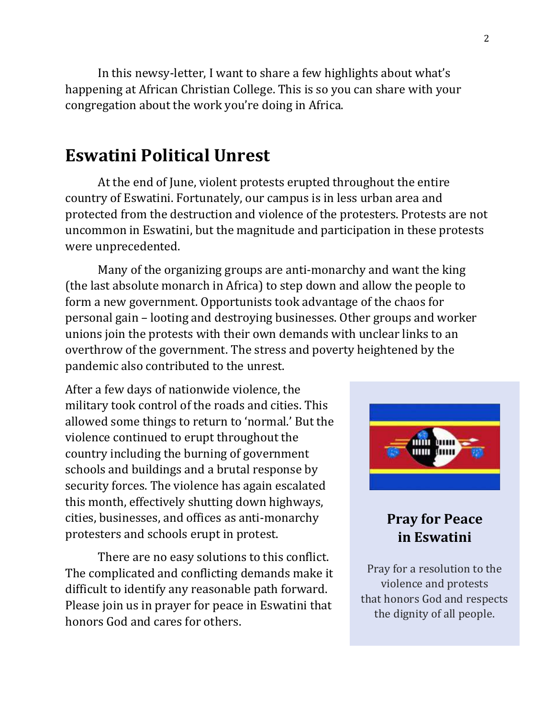In this newsy-letter, I want to share a few highlights about what's happening at African Christian College. This is so you can share with your congregation about the work you're doing in Africa.

### **Eswatini Political Unrest**

At the end of June, violent protests erupted throughout the entire country of Eswatini. Fortunately, our campus is in less urban area and protected from the destruction and violence of the protesters. Protests are not uncommon in Eswatini, but the magnitude and participation in these protests were unprecedented.

Many of the organizing groups are anti-monarchy and want the king (the last absolute monarch in Africa) to step down and allow the people to form a new government. Opportunists took advantage of the chaos for personal gain – looting and destroying businesses. Other groups and worker unions join the protests with their own demands with unclear links to an overthrow of the government. The stress and poverty heightened by the pandemic also contributed to the unrest.

After a few days of nationwide violence, the military took control of the roads and cities. This allowed some things to return to 'normal.' But the violence continued to erupt throughout the country including the burning of government schools and buildings and a brutal response by security forces. The violence has again escalated this month, effectively shutting down highways, cities, businesses, and offices as anti-monarchy protesters and schools erupt in protest.

There are no easy solutions to this conflict. The complicated and conflicting demands make it difficult to identify any reasonable path forward. Please join us in prayer for peace in Eswatini that honors God and cares for others.



### **Pray for Peace in Eswatini**

Pray for a resolution to the violence and protests that honors God and respects the dignity of all people.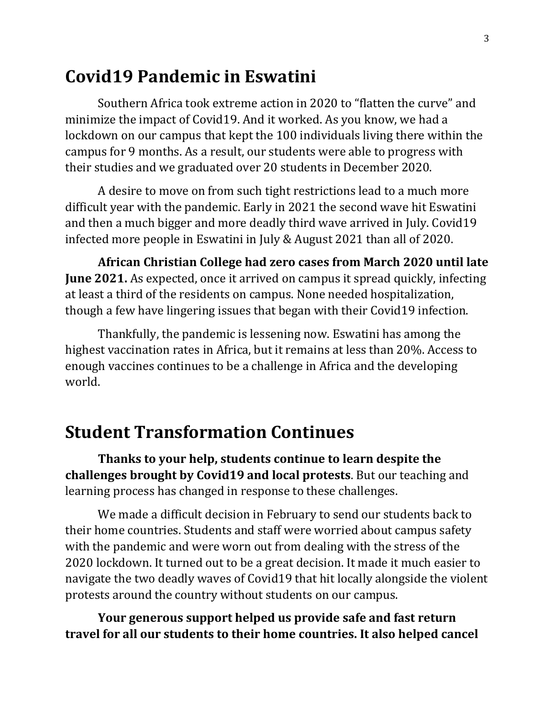## **Covid19 Pandemic in Eswatini**

Southern Africa took extreme action in 2020 to "flatten the curve" and minimize the impact of Covid19. And it worked. As you know, we had a lockdown on our campus that kept the 100 individuals living there within the campus for 9 months. As a result, our students were able to progress with their studies and we graduated over 20 students in December 2020.

A desire to move on from such tight restrictions lead to a much more difficult year with the pandemic. Early in 2021 the second wave hit Eswatini and then a much bigger and more deadly third wave arrived in July. Covid19 infected more people in Eswatini in July & August 2021 than all of 2020.

**African Christian College had zero cases from March 2020 until late June 2021.** As expected, once it arrived on campus it spread quickly, infecting at least a third of the residents on campus. None needed hospitalization, though a few have lingering issues that began with their Covid19 infection.

Thankfully, the pandemic is lessening now. Eswatini has among the highest vaccination rates in Africa, but it remains at less than 20%. Access to enough vaccines continues to be a challenge in Africa and the developing world.

## **Student Transformation Continues**

**Thanks to your help, students continue to learn despite the challenges brought by Covid19 and local protests**. But our teaching and learning process has changed in response to these challenges.

We made a difficult decision in February to send our students back to their home countries. Students and staff were worried about campus safety with the pandemic and were worn out from dealing with the stress of the 2020 lockdown. It turned out to be a great decision. It made it much easier to navigate the two deadly waves of Covid19 that hit locally alongside the violent protests around the country without students on our campus.

**Your generous support helped us provide safe and fast return travel for all our students to their home countries. It also helped cancel**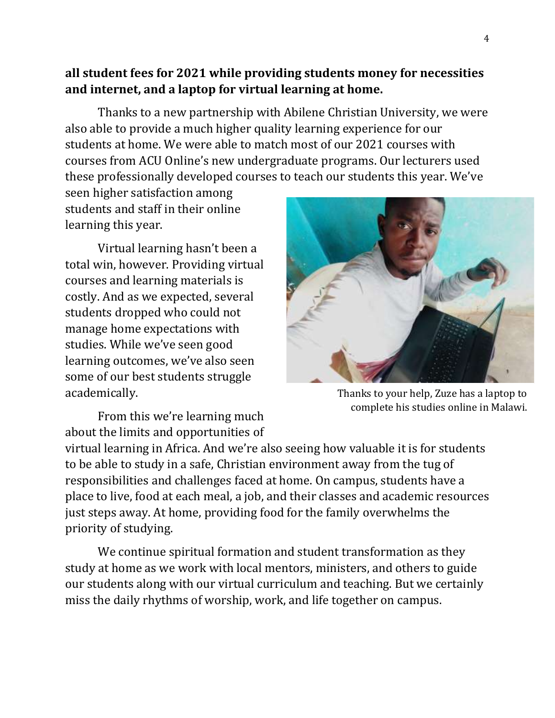#### **all student fees for 2021 while providing students money for necessities and internet, and a laptop for virtual learning at home.**

Thanks to a new partnership with Abilene Christian University, we were also able to provide a much higher quality learning experience for our students at home. We were able to match most of our 2021 courses with courses from ACU Online's new undergraduate programs. Our lecturers used these professionally developed courses to teach our students this year. We've

seen higher satisfaction among students and staff in their online learning this year.

Virtual learning hasn't been a total win, however. Providing virtual courses and learning materials is costly. And as we expected, several students dropped who could not manage home expectations with studies. While we've seen good learning outcomes, we've also seen some of our best students struggle academically.

Thanks to your help, Zuze has a laptop to complete his studies online in Malawi.

From this we're learning much about the limits and opportunities of

virtual learning in Africa. And we're also seeing how valuable it is for students to be able to study in a safe, Christian environment away from the tug of responsibilities and challenges faced at home. On campus, students have a place to live, food at each meal, a job, and their classes and academic resources just steps away. At home, providing food for the family overwhelms the priority of studying.

We continue spiritual formation and student transformation as they study at home as we work with local mentors, ministers, and others to guide our students along with our virtual curriculum and teaching. But we certainly miss the daily rhythms of worship, work, and life together on campus.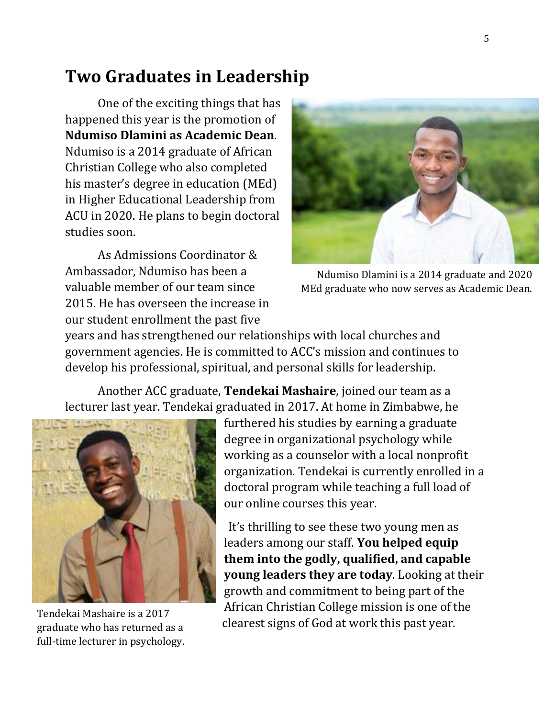## **Two Graduates in Leadership**

One of the exciting things that has happened this year is the promotion of **Ndumiso Dlamini as Academic Dean**. Ndumiso is a 2014 graduate of African Christian College who also completed his master's degree in education (MEd) in Higher Educational Leadership from ACU in 2020. He plans to begin doctoral studies soon.

As Admissions Coordinator & Ambassador, Ndumiso has been a valuable member of our team since 2015. He has overseen the increase in our student enrollment the past five



Ndumiso Dlamini is a 2014 graduate and 2020 MEd graduate who now serves as Academic Dean.

years and has strengthened our relationships with local churches and government agencies. He is committed to ACC's mission and continues to develop his professional, spiritual, and personal skills for leadership.

Another ACC graduate, **Tendekai Mashaire**, joined our team as a lecturer last year. Tendekai graduated in 2017. At home in Zimbabwe, he



Tendekai Mashaire is a 2017 graduate who has returned as a full-time lecturer in psychology.

furthered his studies by earning a graduate degree in organizational psychology while working as a counselor with a local nonprofit organization. Tendekai is currently enrolled in a doctoral program while teaching a full load of our online courses this year.

It's thrilling to see these two young men as leaders among our staff. **You helped equip them into the godly, qualified, and capable young leaders they are today**. Looking at their growth and commitment to being part of the African Christian College mission is one of the clearest signs of God at work this past year.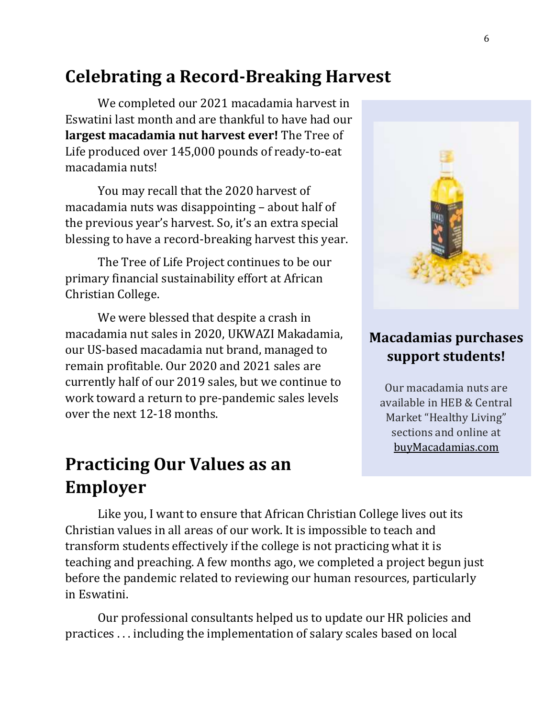## **Celebrating a Record-Breaking Harvest**

We completed our 2021 macadamia harvest in Eswatini last month and are thankful to have had our **largest macadamia nut harvest ever!** The Tree of Life produced over 145,000 pounds of ready-to-eat macadamia nuts!

You may recall that the 2020 harvest of macadamia nuts was disappointing – about half of the previous year's harvest. So, it's an extra special blessing to have a record-breaking harvest this year.

The Tree of Life Project continues to be our primary financial sustainability effort at African Christian College.

We were blessed that despite a crash in macadamia nut sales in 2020, UKWAZI Makadamia, our US-based macadamia nut brand, managed to remain profitable. Our 2020 and 2021 sales are currently half of our 2019 sales, but we continue to work toward a return to pre-pandemic sales levels over the next 12-18 months.

# **Practicing Our Values as an Employer**

Like you, I want to ensure that African Christian College lives out its Christian values in all areas of our work. It is impossible to teach and transform students effectively if the college is not practicing what it is teaching and preaching. A few months ago, we completed a project begun just before the pandemic related to reviewing our human resources, particularly in Eswatini.

Our professional consultants helped us to update our HR policies and practices . . . including the implementation of salary scales based on local



### **Macadamias purchases support students!**

Our macadamia nuts are available in HEB & Central Market "Healthy Living" sections and online at [buyMacadamias.com](http://www.buymacadamias.com/)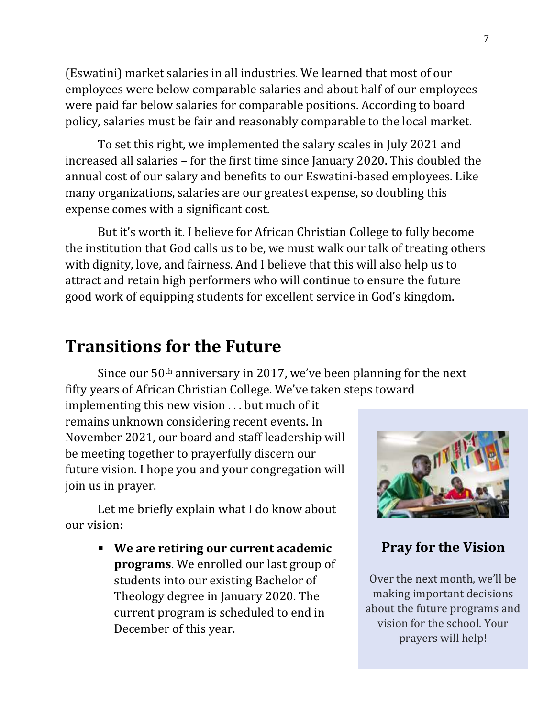(Eswatini) market salaries in all industries. We learned that most of our employees were below comparable salaries and about half of our employees were paid far below salaries for comparable positions. According to board policy, salaries must be fair and reasonably comparable to the local market.

To set this right, we implemented the salary scales in July 2021 and increased all salaries – for the first time since January 2020. This doubled the annual cost of our salary and benefits to our Eswatini-based employees. Like many organizations, salaries are our greatest expense, so doubling this expense comes with a significant cost.

But it's worth it. I believe for African Christian College to fully become the institution that God calls us to be, we must walk our talk of treating others with dignity, love, and fairness. And I believe that this will also help us to attract and retain high performers who will continue to ensure the future good work of equipping students for excellent service in God's kingdom.

### **Transitions for the Future**

Since our  $50<sup>th</sup>$  anniversary in 2017, we've been planning for the next fifty years of African Christian College. We've taken steps toward

implementing this new vision . . . but much of it remains unknown considering recent events. In November 2021, our board and staff leadership will be meeting together to prayerfully discern our future vision. I hope you and your congregation will join us in prayer.

Let me briefly explain what I do know about our vision:

> ▪ **We are retiring our current academic programs**. We enrolled our last group of students into our existing Bachelor of Theology degree in January 2020. The current program is scheduled to end in December of this year.



### **Pray for the Vision**

Over the next month, we'll be making important decisions about the future programs and vision for the school. Your prayers will help!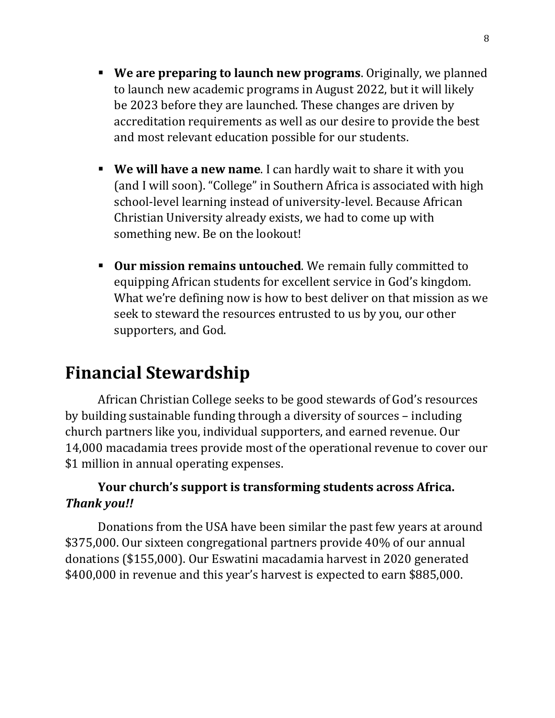- **We are preparing to launch new programs**. Originally, we planned to launch new academic programs in August 2022, but it will likely be 2023 before they are launched. These changes are driven by accreditation requirements as well as our desire to provide the best and most relevant education possible for our students.
- **We will have a new name**. I can hardly wait to share it with you (and I will soon). "College" in Southern Africa is associated with high school-level learning instead of university-level. Because African Christian University already exists, we had to come up with something new. Be on the lookout!
- **Our mission remains untouched**. We remain fully committed to equipping African students for excellent service in God's kingdom. What we're defining now is how to best deliver on that mission as we seek to steward the resources entrusted to us by you, our other supporters, and God.

# **Financial Stewardship**

African Christian College seeks to be good stewards of God's resources by building sustainable funding through a diversity of sources – including church partners like you, individual supporters, and earned revenue. Our 14,000 macadamia trees provide most of the operational revenue to cover our \$1 million in annual operating expenses.

#### **Your church's support is transforming students across Africa.**  *Thank you!!*

Donations from the USA have been similar the past few years at around \$375,000. Our sixteen congregational partners provide 40% of our annual donations (\$155,000). Our Eswatini macadamia harvest in 2020 generated \$400,000 in revenue and this year's harvest is expected to earn \$885,000.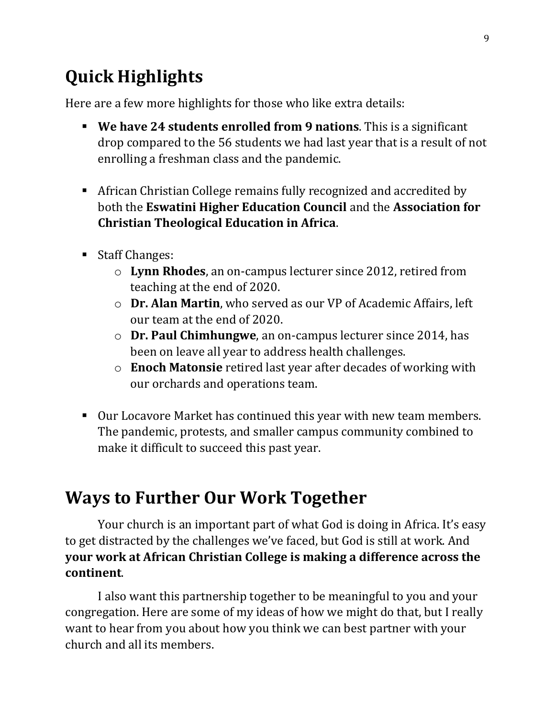# **Quick Highlights**

Here are a few more highlights for those who like extra details:

- **We have 24 students enrolled from 9 nations**. This is a significant drop compared to the 56 students we had last year that is a result of not enrolling a freshman class and the pandemic.
- **EXEDENT African Christian College remains fully recognized and accredited by** both the **Eswatini Higher Education Council** and the **Association for Christian Theological Education in Africa**.
- Staff Changes:
	- o **Lynn Rhodes**, an on-campus lecturer since 2012, retired from teaching at the end of 2020.
	- o **Dr. Alan Martin**, who served as our VP of Academic Affairs, left our team at the end of 2020.
	- o **Dr. Paul Chimhungwe**, an on-campus lecturer since 2014, has been on leave all year to address health challenges.
	- o **Enoch Matonsie** retired last year after decades of working with our orchards and operations team.
- Our Locavore Market has continued this year with new team members. The pandemic, protests, and smaller campus community combined to make it difficult to succeed this past year.

## **Ways to Further Our Work Together**

Your church is an important part of what God is doing in Africa. It's easy to get distracted by the challenges we've faced, but God is still at work. And **your work at African Christian College is making a difference across the continent**.

I also want this partnership together to be meaningful to you and your congregation. Here are some of my ideas of how we might do that, but I really want to hear from you about how you think we can best partner with your church and all its members.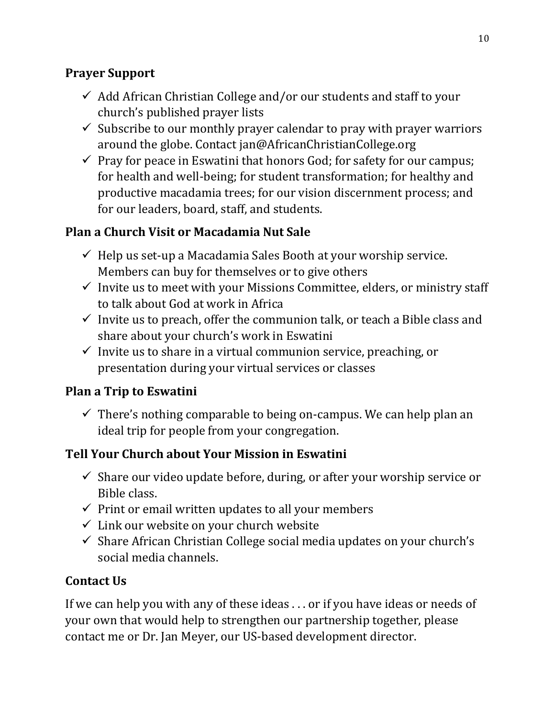#### **Prayer Support**

- $\checkmark$  Add African Christian College and/or our students and staff to your church's published prayer lists
- $\checkmark$  Subscribe to our monthly prayer calendar to pray with prayer warriors around the globe. Contact jan@AfricanChristianCollege.org
- $\checkmark$  Pray for peace in Eswatini that honors God; for safety for our campus; for health and well-being; for student transformation; for healthy and productive macadamia trees; for our vision discernment process; and for our leaders, board, staff, and students.

#### **Plan a Church Visit or Macadamia Nut Sale**

- $\checkmark$  Help us set-up a Macadamia Sales Booth at your worship service. Members can buy for themselves or to give others
- $\checkmark$  Invite us to meet with your Missions Committee, elders, or ministry staff to talk about God at work in Africa
- $\checkmark$  Invite us to preach, offer the communion talk, or teach a Bible class and share about your church's work in Eswatini
- $\checkmark$  Invite us to share in a virtual communion service, preaching, or presentation during your virtual services or classes

#### **Plan a Trip to Eswatini**

 $\checkmark$  There's nothing comparable to being on-campus. We can help plan an ideal trip for people from your congregation.

### **Tell Your Church about Your Mission in Eswatini**

- $\checkmark$  Share our video update before, during, or after your worship service or Bible class.
- $\checkmark$  Print or email written updates to all your members
- $\checkmark$  Link our website on your church website
- ✓ Share African Christian College social media updates on your church's social media channels.

### **Contact Us**

If we can help you with any of these ideas . . . or if you have ideas or needs of your own that would help to strengthen our partnership together, please contact me or Dr. Jan Meyer, our US-based development director.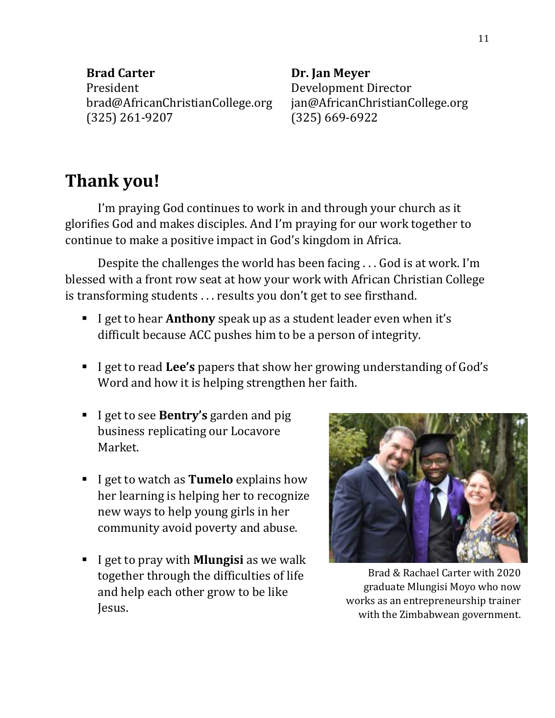**Brad Carter** President brad@AfricanChristianCollege.org (325) 261-9207

**Dr. Jan Meyer** Development Director jan@AfricanChristianCollege.org (325) 669-6922

# **Thank you!**

I'm praying God continues to work in and through your church as it glorifies God and makes disciples. And I'm praying for our work together to continue to make a positive impact in God's kingdom in Africa.

Despite the challenges the world has been facing . . . God is at work. I'm blessed with a front row seat at how your work with African Christian College is transforming students . . . results you don't get to see firsthand.

- I get to hear **Anthony** speak up as a student leader even when it's difficult because ACC pushes him to be a person of integrity.
- I get to read **Lee's** papers that show her growing understanding of God's Word and how it is helping strengthen her faith.
- I get to see **Bentry's** garden and pig business replicating our Locavore Market.
- I get to watch as **Tumelo** explains how her learning is helping her to recognize new ways to help young girls in her community avoid poverty and abuse.
- I get to pray with **Mlungisi** as we walk together through the difficulties of life and help each other grow to be like Jesus.



Brad & Rachael Carter with 2020 graduate Mlungisi Moyo who now works as an entrepreneurship trainer with the Zimbabwean government.